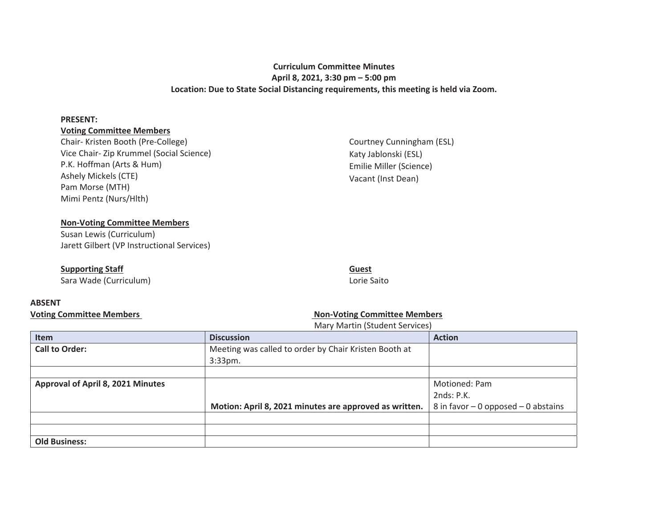# **Curriculum Committee Minutes April 8, 2021, 3:30 pm – 5:00 pm Location: Due to State Social Distancing requirements, this meeting is held via Zoom.**

#### **PRESENT:**

## **Voting Committee Members**

Chair- Kristen Booth (Pre-College) Vice Chair- Zip Krummel (Social Science) P.K. Hoffman (Arts & Hum) Ashely Mickels (CTE) Pam Morse (MTH) Mimi Pentz (Nurs/Hlth)

Courtney Cunningham (ESL) Katy Jablonski (ESL) Emilie Miller (Science) Vacant (Inst Dean)

# **Non-Voting Committee Members**

Susan Lewis (Curriculum) Jarett Gilbert (VP Instructional Services)

## **Supporting Staff**

Sara Wade (Curriculum)

### **Guest**  Lorie Saito

# **ABSENT**

# Voting Committee Members **Non-Voting Committee Members Non-Voting Committee Members**

Mary Martin (Student Services)

| Item                                     | <b>Discussion</b>                                      | <b>Action</b>                         |
|------------------------------------------|--------------------------------------------------------|---------------------------------------|
| <b>Call to Order:</b>                    | Meeting was called to order by Chair Kristen Booth at  |                                       |
|                                          | $3:33$ pm.                                             |                                       |
|                                          |                                                        |                                       |
| <b>Approval of April 8, 2021 Minutes</b> |                                                        | Motioned: Pam                         |
|                                          |                                                        | 2nds: P.K.                            |
|                                          | Motion: April 8, 2021 minutes are approved as written. | 8 in favor $-0$ opposed $-0$ abstains |
|                                          |                                                        |                                       |
|                                          |                                                        |                                       |
| <b>Old Business:</b>                     |                                                        |                                       |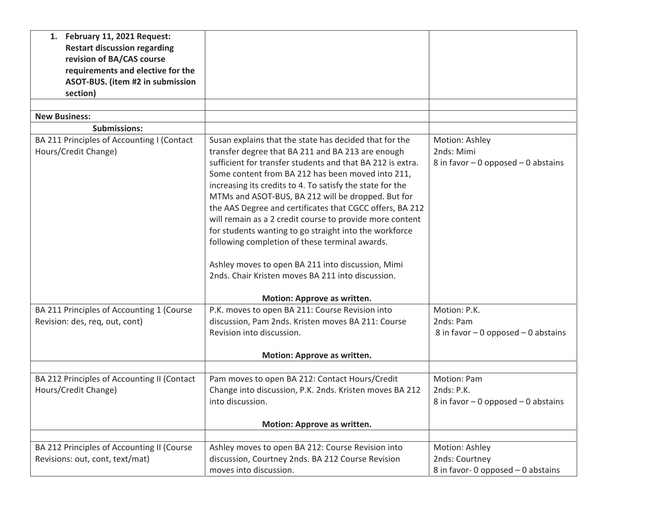| 1. February 11, 2021 Request:               |                                                            |                                       |
|---------------------------------------------|------------------------------------------------------------|---------------------------------------|
| <b>Restart discussion regarding</b>         |                                                            |                                       |
| revision of BA/CAS course                   |                                                            |                                       |
| requirements and elective for the           |                                                            |                                       |
| ASOT-BUS. (item #2 in submission            |                                                            |                                       |
| section)                                    |                                                            |                                       |
|                                             |                                                            |                                       |
| <b>New Business:</b>                        |                                                            |                                       |
| <b>Submissions:</b>                         |                                                            |                                       |
| BA 211 Principles of Accounting I (Contact  | Susan explains that the state has decided that for the     | Motion: Ashley                        |
| Hours/Credit Change)                        | transfer degree that BA 211 and BA 213 are enough          | 2nds: Mimi                            |
|                                             | sufficient for transfer students and that BA 212 is extra. | 8 in favor $-0$ opposed $-0$ abstains |
|                                             | Some content from BA 212 has been moved into 211,          |                                       |
|                                             | increasing its credits to 4. To satisfy the state for the  |                                       |
|                                             | MTMs and ASOT-BUS, BA 212 will be dropped. But for         |                                       |
|                                             | the AAS Degree and certificates that CGCC offers, BA 212   |                                       |
|                                             | will remain as a 2 credit course to provide more content   |                                       |
|                                             | for students wanting to go straight into the workforce     |                                       |
|                                             | following completion of these terminal awards.             |                                       |
|                                             |                                                            |                                       |
|                                             | Ashley moves to open BA 211 into discussion, Mimi          |                                       |
|                                             | 2nds. Chair Kristen moves BA 211 into discussion.          |                                       |
|                                             |                                                            |                                       |
|                                             | Motion: Approve as written.                                |                                       |
| BA 211 Principles of Accounting 1 (Course   | P.K. moves to open BA 211: Course Revision into            | Motion: P.K.                          |
| Revision: des, req, out, cont)              | discussion, Pam 2nds. Kristen moves BA 211: Course         | 2nds: Pam                             |
|                                             | Revision into discussion.                                  | 8 in favor $-0$ opposed $-0$ abstains |
|                                             |                                                            |                                       |
|                                             | Motion: Approve as written.                                |                                       |
|                                             |                                                            |                                       |
| BA 212 Principles of Accounting II (Contact | Pam moves to open BA 212: Contact Hours/Credit             | Motion: Pam                           |
| Hours/Credit Change)                        | Change into discussion, P.K. 2nds. Kristen moves BA 212    | 2nds: P.K.                            |
|                                             | into discussion.                                           | 8 in favor $-0$ opposed $-0$ abstains |
|                                             | Motion: Approve as written.                                |                                       |
|                                             |                                                            |                                       |
| BA 212 Principles of Accounting II (Course  | Ashley moves to open BA 212: Course Revision into          | Motion: Ashley                        |
| Revisions: out, cont, text/mat)             | discussion, Courtney 2nds. BA 212 Course Revision          | 2nds: Courtney                        |
|                                             | moves into discussion.                                     | 8 in favor- 0 opposed - 0 abstains    |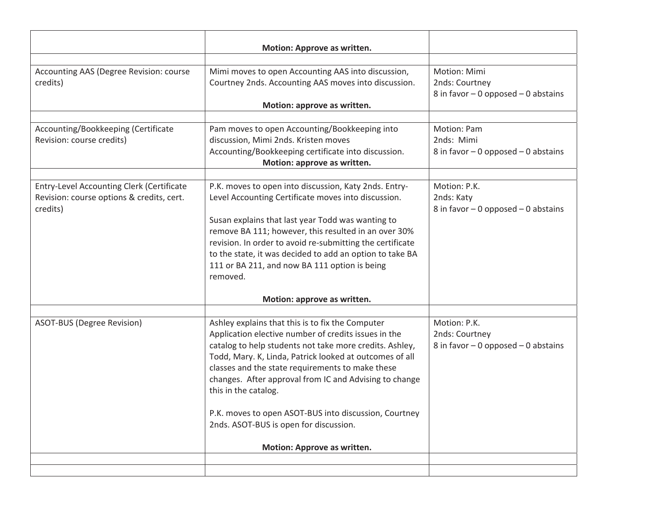| Mimi moves to open Accounting AAS into discussion,<br>Courtney 2nds. Accounting AAS moves into discussion.<br>Motion: approve as written.                                                                                                                                                                                                                                                                                                                                                              | Motion: Mimi<br>2nds: Courtney<br>8 in favor $-0$ opposed $-0$ abstains |
|--------------------------------------------------------------------------------------------------------------------------------------------------------------------------------------------------------------------------------------------------------------------------------------------------------------------------------------------------------------------------------------------------------------------------------------------------------------------------------------------------------|-------------------------------------------------------------------------|
| Pam moves to open Accounting/Bookkeeping into<br>discussion, Mimi 2nds. Kristen moves<br>Accounting/Bookkeeping certificate into discussion.<br>Motion: approve as written.                                                                                                                                                                                                                                                                                                                            | Motion: Pam<br>2nds: Mimi<br>8 in favor $-0$ opposed $-0$ abstains      |
| P.K. moves to open into discussion, Katy 2nds. Entry-<br>Level Accounting Certificate moves into discussion.<br>Susan explains that last year Todd was wanting to<br>remove BA 111; however, this resulted in an over 30%<br>revision. In order to avoid re-submitting the certificate<br>to the state, it was decided to add an option to take BA<br>111 or BA 211, and now BA 111 option is being<br>removed.                                                                                        | Motion: P.K.<br>2nds: Katy<br>8 in favor $-0$ opposed $-0$ abstains     |
| Motion: approve as written.                                                                                                                                                                                                                                                                                                                                                                                                                                                                            |                                                                         |
| Ashley explains that this is to fix the Computer<br>Application elective number of credits issues in the<br>catalog to help students not take more credits. Ashley,<br>Todd, Mary. K, Linda, Patrick looked at outcomes of all<br>classes and the state requirements to make these<br>changes. After approval from IC and Advising to change<br>this in the catalog.<br>P.K. moves to open ASOT-BUS into discussion, Courtney<br>2nds. ASOT-BUS is open for discussion.<br>Motion: Approve as written. | Motion: P.K.<br>2nds: Courtney<br>8 in favor $-0$ opposed $-0$ abstains |
|                                                                                                                                                                                                                                                                                                                                                                                                                                                                                                        |                                                                         |
|                                                                                                                                                                                                                                                                                                                                                                                                                                                                                                        | Motion: Approve as written.                                             |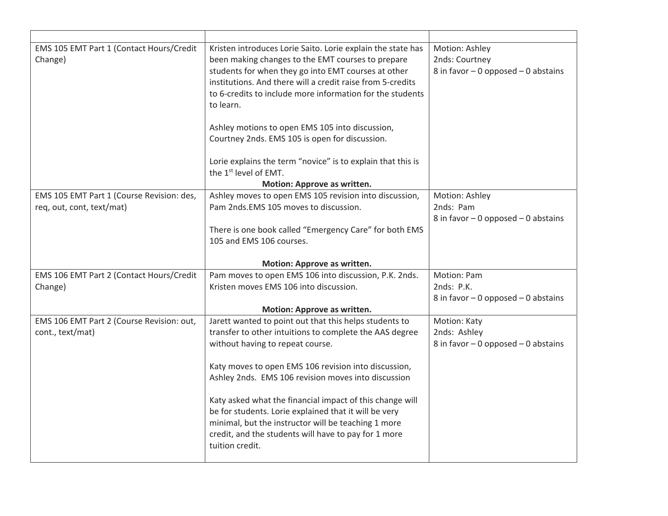| EMS 105 EMT Part 1 (Contact Hours/Credit<br>Change)           | Kristen introduces Lorie Saito. Lorie explain the state has<br>been making changes to the EMT courses to prepare<br>students for when they go into EMT courses at other<br>institutions. And there will a credit raise from 5-credits<br>to 6-credits to include more information for the students<br>to learn.<br>Ashley motions to open EMS 105 into discussion,<br>Courtney 2nds. EMS 105 is open for discussion.<br>Lorie explains the term "novice" is to explain that this is<br>the 1 <sup>st</sup> level of EMT.<br>Motion: Approve as written. | Motion: Ashley<br>2nds: Courtney<br>8 in favor $-0$ opposed $-0$ abstains |
|---------------------------------------------------------------|---------------------------------------------------------------------------------------------------------------------------------------------------------------------------------------------------------------------------------------------------------------------------------------------------------------------------------------------------------------------------------------------------------------------------------------------------------------------------------------------------------------------------------------------------------|---------------------------------------------------------------------------|
| EMS 105 EMT Part 1 (Course Revision: des,                     | Ashley moves to open EMS 105 revision into discussion,                                                                                                                                                                                                                                                                                                                                                                                                                                                                                                  | Motion: Ashley                                                            |
| req, out, cont, text/mat)                                     | Pam 2nds.EMS 105 moves to discussion.                                                                                                                                                                                                                                                                                                                                                                                                                                                                                                                   | 2nds: Pam                                                                 |
|                                                               | There is one book called "Emergency Care" for both EMS<br>105 and EMS 106 courses.                                                                                                                                                                                                                                                                                                                                                                                                                                                                      | 8 in favor $-0$ opposed $-0$ abstains                                     |
|                                                               | Motion: Approve as written.                                                                                                                                                                                                                                                                                                                                                                                                                                                                                                                             |                                                                           |
| EMS 106 EMT Part 2 (Contact Hours/Credit<br>Change)           | Pam moves to open EMS 106 into discussion, P.K. 2nds.<br>Kristen moves EMS 106 into discussion.                                                                                                                                                                                                                                                                                                                                                                                                                                                         | <b>Motion: Pam</b><br>2nds: P.K.<br>8 in favor $-0$ opposed $-0$ abstains |
|                                                               | Motion: Approve as written.                                                                                                                                                                                                                                                                                                                                                                                                                                                                                                                             |                                                                           |
| EMS 106 EMT Part 2 (Course Revision: out,<br>cont., text/mat) | Jarett wanted to point out that this helps students to<br>transfer to other intuitions to complete the AAS degree<br>without having to repeat course.<br>Katy moves to open EMS 106 revision into discussion,                                                                                                                                                                                                                                                                                                                                           | Motion: Katy<br>2nds: Ashley<br>8 in favor $-0$ opposed $-0$ abstains     |
|                                                               | Ashley 2nds. EMS 106 revision moves into discussion                                                                                                                                                                                                                                                                                                                                                                                                                                                                                                     |                                                                           |
|                                                               | Katy asked what the financial impact of this change will<br>be for students. Lorie explained that it will be very<br>minimal, but the instructor will be teaching 1 more<br>credit, and the students will have to pay for 1 more<br>tuition credit.                                                                                                                                                                                                                                                                                                     |                                                                           |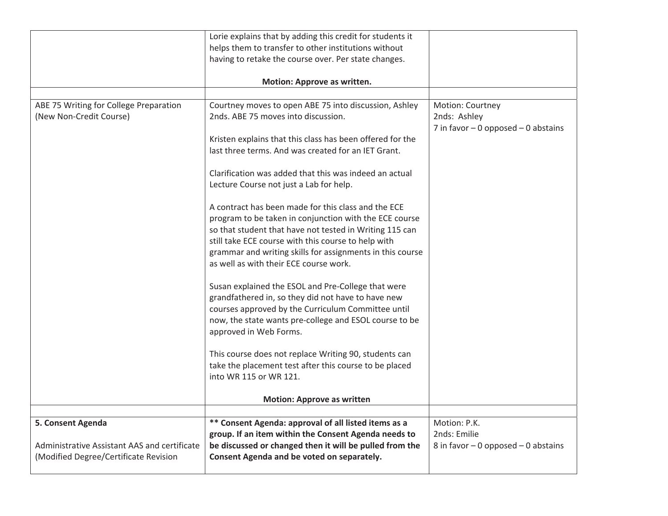|                                              | Lorie explains that by adding this credit for students it                                                |                                       |
|----------------------------------------------|----------------------------------------------------------------------------------------------------------|---------------------------------------|
|                                              | helps them to transfer to other institutions without                                                     |                                       |
|                                              | having to retake the course over. Per state changes.                                                     |                                       |
|                                              |                                                                                                          |                                       |
|                                              | Motion: Approve as written.                                                                              |                                       |
|                                              |                                                                                                          |                                       |
| ABE 75 Writing for College Preparation       | Courtney moves to open ABE 75 into discussion, Ashley                                                    | Motion: Courtney                      |
| (New Non-Credit Course)                      | 2nds. ABE 75 moves into discussion.                                                                      | 2nds: Ashley                          |
|                                              |                                                                                                          | 7 in favor $-0$ opposed $-0$ abstains |
|                                              | Kristen explains that this class has been offered for the                                                |                                       |
|                                              | last three terms. And was created for an IET Grant.                                                      |                                       |
|                                              |                                                                                                          |                                       |
|                                              | Clarification was added that this was indeed an actual                                                   |                                       |
|                                              | Lecture Course not just a Lab for help.                                                                  |                                       |
|                                              |                                                                                                          |                                       |
|                                              | A contract has been made for this class and the ECE                                                      |                                       |
|                                              | program to be taken in conjunction with the ECE course                                                   |                                       |
|                                              | so that student that have not tested in Writing 115 can                                                  |                                       |
|                                              | still take ECE course with this course to help with                                                      |                                       |
|                                              | grammar and writing skills for assignments in this course                                                |                                       |
|                                              | as well as with their ECE course work.                                                                   |                                       |
|                                              |                                                                                                          |                                       |
|                                              | Susan explained the ESOL and Pre-College that were<br>grandfathered in, so they did not have to have new |                                       |
|                                              | courses approved by the Curriculum Committee until                                                       |                                       |
|                                              | now, the state wants pre-college and ESOL course to be                                                   |                                       |
|                                              | approved in Web Forms.                                                                                   |                                       |
|                                              |                                                                                                          |                                       |
|                                              | This course does not replace Writing 90, students can                                                    |                                       |
|                                              | take the placement test after this course to be placed                                                   |                                       |
|                                              | into WR 115 or WR 121.                                                                                   |                                       |
|                                              |                                                                                                          |                                       |
|                                              | <b>Motion: Approve as written</b>                                                                        |                                       |
|                                              |                                                                                                          |                                       |
| 5. Consent Agenda                            | ** Consent Agenda: approval of all listed items as a                                                     | Motion: P.K.                          |
|                                              | group. If an item within the Consent Agenda needs to                                                     | 2nds: Emilie                          |
| Administrative Assistant AAS and certificate | be discussed or changed then it will be pulled from the                                                  | 8 in favor $-0$ opposed $-0$ abstains |
| (Modified Degree/Certificate Revision        | Consent Agenda and be voted on separately.                                                               |                                       |
|                                              |                                                                                                          |                                       |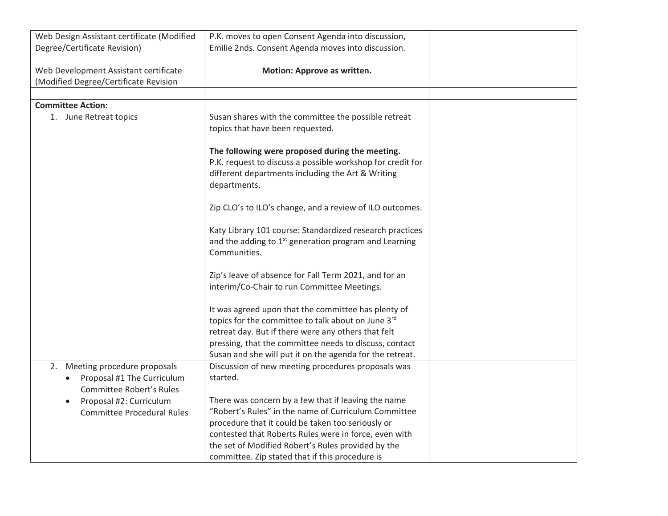| Web Design Assistant certificate (Modified | P.K. moves to open Consent Agenda into discussion,                |  |
|--------------------------------------------|-------------------------------------------------------------------|--|
| Degree/Certificate Revision)               | Emilie 2nds. Consent Agenda moves into discussion.                |  |
|                                            |                                                                   |  |
| Web Development Assistant certificate      | Motion: Approve as written.                                       |  |
| (Modified Degree/Certificate Revision      |                                                                   |  |
|                                            |                                                                   |  |
| <b>Committee Action:</b>                   |                                                                   |  |
| 1. June Retreat topics                     | Susan shares with the committee the possible retreat              |  |
|                                            | topics that have been requested.                                  |  |
|                                            |                                                                   |  |
|                                            | The following were proposed during the meeting.                   |  |
|                                            | P.K. request to discuss a possible workshop for credit for        |  |
|                                            | different departments including the Art & Writing                 |  |
|                                            | departments.                                                      |  |
|                                            |                                                                   |  |
|                                            | Zip CLO's to ILO's change, and a review of ILO outcomes.          |  |
|                                            |                                                                   |  |
|                                            | Katy Library 101 course: Standardized research practices          |  |
|                                            | and the adding to 1 <sup>st</sup> generation program and Learning |  |
|                                            | Communities.                                                      |  |
|                                            |                                                                   |  |
|                                            | Zip's leave of absence for Fall Term 2021, and for an             |  |
|                                            | interim/Co-Chair to run Committee Meetings.                       |  |
|                                            |                                                                   |  |
|                                            | It was agreed upon that the committee has plenty of               |  |
|                                            | topics for the committee to talk about on June 3rd                |  |
|                                            | retreat day. But if there were any others that felt               |  |
|                                            | pressing, that the committee needs to discuss, contact            |  |
|                                            | Susan and she will put it on the agenda for the retreat.          |  |
|                                            |                                                                   |  |
| 2. Meeting procedure proposals             | Discussion of new meeting procedures proposals was                |  |
| • Proposal #1 The Curriculum               | started.                                                          |  |
| Committee Robert's Rules                   |                                                                   |  |
| Proposal #2: Curriculum<br>$\bullet$       | There was concern by a few that if leaving the name               |  |
| <b>Committee Procedural Rules</b>          | "Robert's Rules" in the name of Curriculum Committee              |  |
|                                            | procedure that it could be taken too seriously or                 |  |
|                                            | contested that Roberts Rules were in force, even with             |  |
|                                            | the set of Modified Robert's Rules provided by the                |  |
|                                            | committee. Zip stated that if this procedure is                   |  |